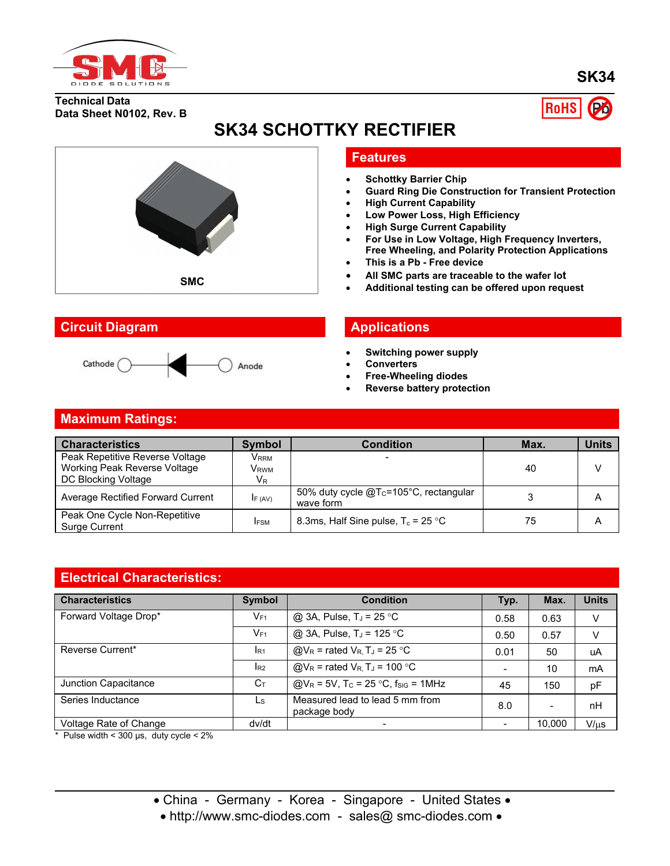

**SK34**

**Technical Data Data Sheet N0102, Rev. B**



# **SK34 SCHOTTKY RECTIFIER**



Anode

#### **Features**

- **Schottky Barrier Chip**
- **Guard Ring Die Construction for Transient Protection**
- **High Current Capability**
- **Low Power Loss, High Efficiency**
- **High Surge Current Capability**
- **For Use in Low Voltage, High Frequency Inverters, Free Wheeling, and Polarity Protection Applications**
- **This is a Pb - Free device**
- **All SMC parts are traceable to the wafer lot**
- **Additional testing can be offered upon request**<br>**Additional testing can be offered upon request**

- **Switching power supply**
- **Converters**
- **Free-Wheeling diodes**
- **Reverse battery protection**

# **Maximum Ratings:**

| <b>Characteristics</b>                         | <b>Symbol</b>    | Condition                                                       | Max. | <b>Units</b> |
|------------------------------------------------|------------------|-----------------------------------------------------------------|------|--------------|
| Peak Repetitive Reverse Voltage                | V <sub>RRM</sub> |                                                                 |      |              |
| Working Peak Reverse Voltage                   | V <sub>RWM</sub> |                                                                 | 40   |              |
| DC Blocking Voltage                            | $V_{R}$          |                                                                 |      |              |
| Average Rectified Forward Current              | IF (AV)          | 50% duty cycle @T <sub>c</sub> =105°C, rectangular<br>wave form |      | A            |
| Peak One Cycle Non-Repetitive<br>Surge Current | <b>IFSM</b>      | 8.3ms, Half Sine pulse, $T_c = 25 \degree C$                    | 75   | Α            |

#### **Electrical Characteristics:**

| <b>Characteristics</b> | Symbol         | <b>Condition</b>                                                               | Typ.                     | Max.                     | <b>Units</b> |
|------------------------|----------------|--------------------------------------------------------------------------------|--------------------------|--------------------------|--------------|
| Forward Voltage Drop*  | $V_{F1}$       | @ 3A, Pulse, $T_J$ = 25 °C                                                     | 0.58                     | 0.63                     | $\vee$       |
|                        | $V_{F1}$       | @ 3A, Pulse, $T_J = 125$ °C                                                    | 0.50                     | 0.57                     | v            |
| Reverse Current*       | $I_{R1}$       | $\textcircled{a}V_{R}$ = rated $V_{R}$ , T <sub>J</sub> = 25 °C                | 0.01                     | 50                       | uA           |
|                        | $I_{R2}$       | $\textcircled{a}V_{\text{R}}$ = rated $V_{\text{R}}$ , T <sub>J</sub> = 100 °C |                          | 10                       | mA           |
| Junction Capacitance   | $C_{\text{I}}$ | $Q/V_R = 5V$ , T <sub>c</sub> = 25 °C, f <sub>sig</sub> = 1MHz                 | 45                       | 150                      | pF           |
| Series Inductance      | Ls             | Measured lead to lead 5 mm from<br>package body                                | 8.0                      | $\overline{\phantom{a}}$ | nH           |
| Voltage Rate of Change | dv/dt          | $\overline{\phantom{0}}$                                                       | $\overline{\phantom{a}}$ | 10.000                   | $V/\mu s$    |

 $*$  Pulse width < 300 µs, duty cycle < 2%

• China - Germany - Korea - Singapore - United States •

• http://www.smc-diodes.com - sales@ smc-diodes.com •

### **Circuit Diagram Applications**

Cathode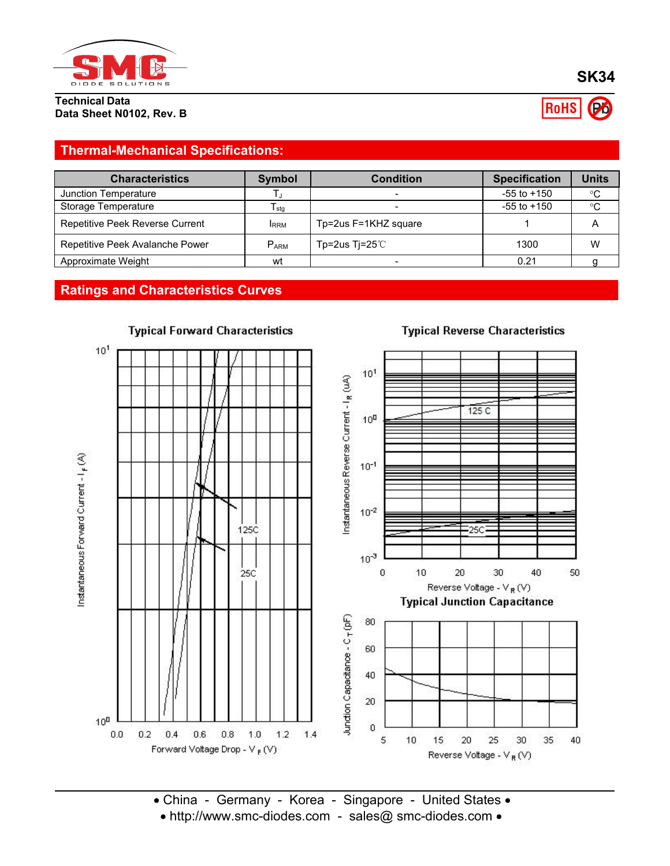

**Technical Data Data Sheet N0102, Rev. B**

# RoHS

# **Thermal-Mechanical Specifications:**

| <b>Characteristics</b>          | <b>Symbol</b> | <b>Condition</b>     | <b>Specification</b> | <b>Units</b> |
|---------------------------------|---------------|----------------------|----------------------|--------------|
| Junction Temperature            |               |                      | $-55$ to $+150$      | $^{\circ}C$  |
| Storage Temperature             | I stq         |                      | $-55$ to $+150$      | $^{\circ}C$  |
| Repetitive Peek Reverse Current | <b>IRRM</b>   | Tp=2us F=1KHZ square |                      | 宀            |
| Repetitive Peek Avalanche Power | $P_{ARM}$     | Tp=2us Ti=25 $°C$    | 1300                 | W            |
| Approximate Weight              | wt            |                      | 0.21                 |              |

## **Ratings and Characteristics Curves**



#### **Typical Reverse Characteristics**

• China - Germany - Korea - Singapore - United States • • http://www.smc-diodes.com - sales@ smc-diodes.com •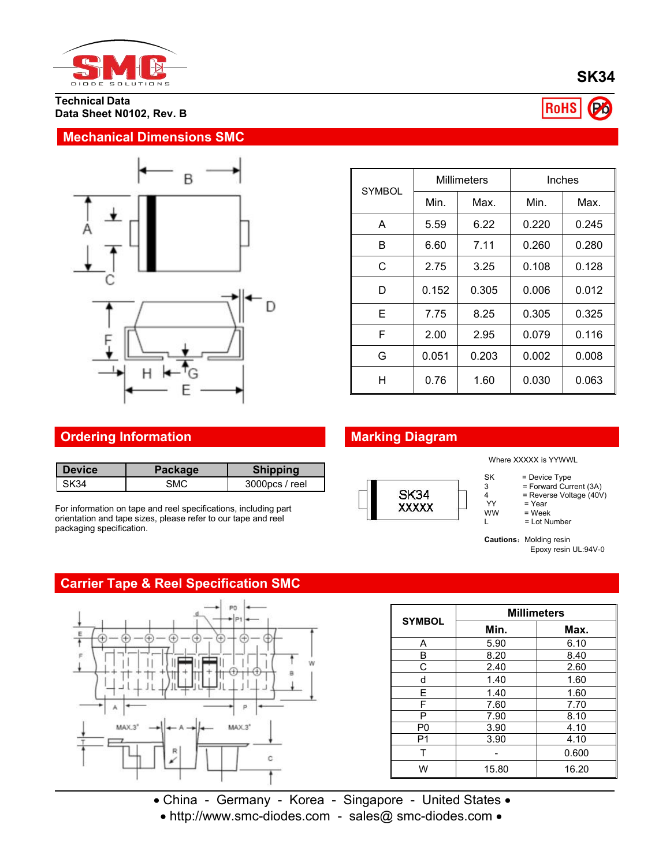

**Technical Data Data Sheet N0102, Rev. B**

#### **Mechanical Dimensions SMC**



|               | <b>Millimeters</b> |       | Inches |       |
|---------------|--------------------|-------|--------|-------|
| <b>SYMBOL</b> | Min.               | Max.  | Min.   | Max.  |
| A             | 5.59               | 6.22  | 0.220  | 0.245 |
| B             | 6.60               | 7.11  | 0.260  | 0.280 |
| C             | 2.75               | 3.25  | 0.108  | 0.128 |
| D             | 0.152              | 0.305 | 0.006  | 0.012 |
| Е             | 7.75               | 8.25  | 0.305  | 0.325 |
| F             | 2.00               | 2.95  | 0.079  | 0.116 |
| G             | 0.051              | 0.203 | 0.002  | 0.008 |
| H             | 0.76               | 1.60  | 0.030  | 0.063 |

# **Ordering Information Marking Diagram**

| l Device | Package | <b>Shipping</b>   |      |
|----------|---------|-------------------|------|
| l SK34   | SMC     | $3000$ pcs / reel | $-1$ |

For information on tape and reel specifications, including part orientation and tape sizes, please refer to our tape and reel packaging specification.

## **Carrier Tape & Reel Specification SMC**



Where XXXXX is YYWWL

- SK = Device Type
- 3 = Forward Current (3A)
- $4$  = Reverse Voltage (40V)<br>YY = Year
- YY = Year<br>WW = Week
- $WW = Week$ <br> $= I_0tNl$  $=$  Lot Number

**Cautions: Molding resin** Epoxy resin UL:94V-0

| <b>SYMBOL</b>  | <b>Millimeters</b> |       |  |  |
|----------------|--------------------|-------|--|--|
|                | Min.               | Max.  |  |  |
| Α              | 5.90               | 6.10  |  |  |
| В              | 8.20               | 8.40  |  |  |
| С              | 2.40               | 2.60  |  |  |
| d              | 1.40               | 1.60  |  |  |
| E              | 1.40               | 1.60  |  |  |
| F              | 7.60               | 7.70  |  |  |
| P              | 7.90               | 8.10  |  |  |
| P <sub>0</sub> | 3.90               | 4.10  |  |  |
| P1             | 3.90               | 4.10  |  |  |
| т              |                    | 0.600 |  |  |
| W              | 15.80              | 16.20 |  |  |

• China - Germany - Korea - Singapore - United States •

• http://www.smc-diodes.com - sales@ smc-diodes.com •



**SK34**